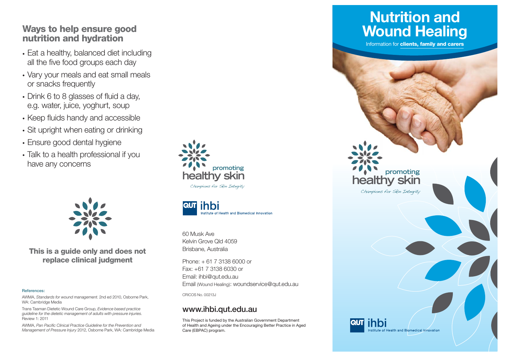### **Ways to help ensure good nutrition and hydration**

- Eat a healthy, balanced diet including all the five food groups each day
- Vary your meals and eat small meals or snacks frequently
- Drink 6 to 8 glasses of fluid a day, e.g. water, juice, yoghurt, soup
- Keep fluids handy and accessible
- Sit upright when eating or drinking
- Ensure good dental hygiene
- Talk to a health professional if you have any concerns



**This is a guide only and does not replace clinical judgment**

#### **References:**

AWMA, *Standards for wound management*. 2nd ed 2010, Osborne Park, WA: Cambridge Media

Trans Tasman Dietetic Wound Care Group, *Evidence based practice guideline for the dietetic management of adults with pressure injuries*. Review 1: 2011

AWMA, Pan Pacific Clinical Practice Guideline for the Prevention and *Management of Pressure Injury* 2012, Osborne Park, WA: Cambridge Media





60 Musk AveKelvin Grove Qld 4059Brisbane, Australia

Phone: + 61 7 3138 6000 or Fax: +61 7 3138 6030 orEmail: ihbi@qut.edu.au Email (Wound Healing): woundservice@qut.edu.au

CRICOS No. 00213J

#### **www.ihbi.qut.edu.au**

This Project is funded by the Australian Government Department of Health and Ageing under the Encouraging Better Practice in Aged Care (EBPAC) program.

# **Nutrition and Wound Healing**

Information for **clients, family and carers**

**healthy skin**

Champions for Skin Integrity

**promoting**

stitute of Health and Biomedical Innovation